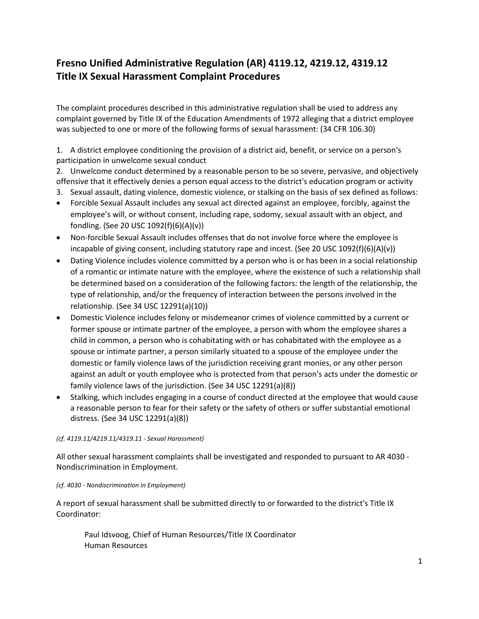# **Fresno Unified Administrative Regulation (AR) 4119.12, 4219.12, 4319.12 Title IX Sexual Harassment Complaint Procedures**

The complaint procedures described in this administrative regulation shall be used to address any complaint governed by Title IX of the Education Amendments of 1972 alleging that a district employee was subjected to one or more of the following forms of sexual harassment: (34 CFR 106.30)

1. A district employee conditioning the provision of a district aid, benefit, or service on a person's participation in unwelcome sexual conduct

2. Unwelcome conduct determined by a reasonable person to be so severe, pervasive, and objectively offensive that it effectively denies a person equal access to the district's education program or activity

- 3. Sexual assault, dating violence, domestic violence, or stalking on the basis of sex defined as follows:
- Forcible Sexual Assault includes any sexual act directed against an employee, forcibly, against the employee's will, or without consent, including rape, sodomy, sexual assault with an object, and fondling. (See 20 USC 1092(f)(6)(A)(v))
- Non-forcible Sexual Assault includes offenses that do not involve force where the employee is incapable of giving consent, including statutory rape and incest. (See 20 USC 1092(f)(6)(A)(v))
- Dating Violence includes violence committed by a person who is or has been in a social relationship of a romantic or intimate nature with the employee, where the existence of such a relationship shall be determined based on a consideration of the following factors: the length of the relationship, the type of relationship, and/or the frequency of interaction between the persons involved in the relationship. (See 34 USC 12291(a)(10))
- Domestic Violence includes felony or misdemeanor crimes of violence committed by a current or former spouse or intimate partner of the employee, a person with whom the employee shares a child in common, a person who is cohabitating with or has cohabitated with the employee as a spouse or intimate partner, a person similarly situated to a spouse of the employee under the domestic or family violence laws of the jurisdiction receiving grant monies, or any other person against an adult or youth employee who is protected from that person's acts under the domestic or family violence laws of the jurisdiction. (See 34 USC 12291(a)(8))
- Stalking, which includes engaging in a course of conduct directed at the employee that would cause a reasonable person to fear for their safety or the safety of others or suffer substantial emotional distress. (See 34 USC 12291(a)(8))

#### *(cf. 4119.11/4219.11/4319.11 - Sexual Harassment)*

All other sexual harassment complaints shall be investigated and responded to pursuant to AR 4030 - Nondiscrimination in Employment.

#### *(cf. 4030 - Nondiscrimination in Employment)*

A report of sexual harassment shall be submitted directly to or forwarded to the district's Title IX Coordinator:

Paul Idsvoog, Chief of Human Resources/Title IX Coordinator Human Resources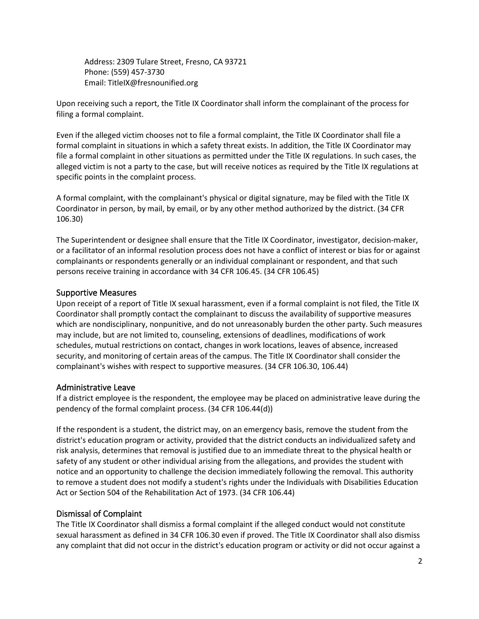Address: 2309 Tulare Street, Fresno, CA 93721 Phone: (559) 457-3730 Email: TitleIX@fresnounified.org

Upon receiving such a report, the Title IX Coordinator shall inform the complainant of the process for filing a formal complaint.

Even if the alleged victim chooses not to file a formal complaint, the Title IX Coordinator shall file a formal complaint in situations in which a safety threat exists. In addition, the Title IX Coordinator may file a formal complaint in other situations as permitted under the Title IX regulations. In such cases, the alleged victim is not a party to the case, but will receive notices as required by the Title IX regulations at specific points in the complaint process.

A formal complaint, with the complainant's physical or digital signature, may be filed with the Title IX Coordinator in person, by mail, by email, or by any other method authorized by the district. (34 CFR 106.30)

The Superintendent or designee shall ensure that the Title IX Coordinator, investigator, decision-maker, or a facilitator of an informal resolution process does not have a conflict of interest or bias for or against complainants or respondents generally or an individual complainant or respondent, and that such persons receive training in accordance with 34 CFR 106.45. (34 CFR 106.45)

### Supportive Measures

Upon receipt of a report of Title IX sexual harassment, even if a formal complaint is not filed, the Title IX Coordinator shall promptly contact the complainant to discuss the availability of supportive measures which are nondisciplinary, nonpunitive, and do not unreasonably burden the other party. Such measures may include, but are not limited to, counseling, extensions of deadlines, modifications of work schedules, mutual restrictions on contact, changes in work locations, leaves of absence, increased security, and monitoring of certain areas of the campus. The Title IX Coordinator shall consider the complainant's wishes with respect to supportive measures. (34 CFR 106.30, 106.44)

### Administrative Leave

If a district employee is the respondent, the employee may be placed on administrative leave during the pendency of the formal complaint process. (34 CFR 106.44(d))

If the respondent is a student, the district may, on an emergency basis, remove the student from the district's education program or activity, provided that the district conducts an individualized safety and risk analysis, determines that removal is justified due to an immediate threat to the physical health or safety of any student or other individual arising from the allegations, and provides the student with notice and an opportunity to challenge the decision immediately following the removal. This authority to remove a student does not modify a student's rights under the Individuals with Disabilities Education Act or Section 504 of the Rehabilitation Act of 1973. (34 CFR 106.44)

### Dismissal of Complaint

The Title IX Coordinator shall dismiss a formal complaint if the alleged conduct would not constitute sexual harassment as defined in 34 CFR 106.30 even if proved. The Title IX Coordinator shall also dismiss any complaint that did not occur in the district's education program or activity or did not occur against a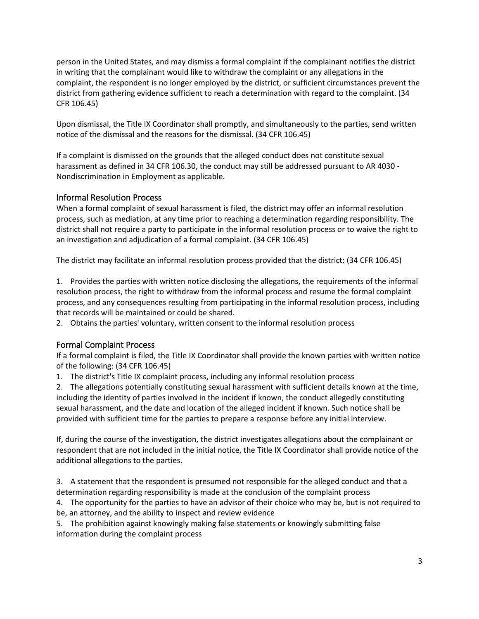person in the United States, and may dismiss a formal complaint if the complainant notifies the district in writing that the complainant would like to withdraw the complaint or any allegations in the complaint, the respondent is no longer employed by the district, or sufficient circumstances prevent the district from gathering evidence sufficient to reach a determination with regard to the complaint. (34 CFR 106.45)

Upon dismissal, the Title IX Coordinator shall promptly, and simultaneously to the parties, send written notice of the dismissal and the reasons for the dismissal. (34 CFR 106.45)

If a complaint is dismissed on the grounds that the alleged conduct does not constitute sexual harassment as defined in 34 CFR 106.30, the conduct may still be addressed pursuant to AR 4030 - Nondiscrimination in Employment as applicable.

## Informal Resolution Process

When a formal complaint of sexual harassment is filed, the district may offer an informal resolution process, such as mediation, at any time prior to reaching a determination regarding responsibility. The district shall not require a party to participate in the informal resolution process or to waive the right to an investigation and adjudication of a formal complaint. (34 CFR 106.45)

The district may facilitate an informal resolution process provided that the district: (34 CFR 106.45)

1. Provides the parties with written notice disclosing the allegations, the requirements of the informal resolution process, the right to withdraw from the informal process and resume the formal complaint process, and any consequences resulting from participating in the informal resolution process, including that records will be maintained or could be shared.

2. Obtains the parties' voluntary, written consent to the informal resolution process

### Formal Complaint Process

If a formal complaint is filed, the Title IX Coordinator shall provide the known parties with written notice of the following: (34 CFR 106.45)

1. The district's Title IX complaint process, including any informal resolution process

2. The allegations potentially constituting sexual harassment with sufficient details known at the time, including the identity of parties involved in the incident if known, the conduct allegedly constituting sexual harassment, and the date and location of the alleged incident if known. Such notice shall be provided with sufficient time for the parties to prepare a response before any initial interview.

If, during the course of the investigation, the district investigates allegations about the complainant or respondent that are not included in the initial notice, the Title IX Coordinator shall provide notice of the additional allegations to the parties.

3. A statement that the respondent is presumed not responsible for the alleged conduct and that a determination regarding responsibility is made at the conclusion of the complaint process

4. The opportunity for the parties to have an advisor of their choice who may be, but is not required to be, an attorney, and the ability to inspect and review evidence

5. The prohibition against knowingly making false statements or knowingly submitting false information during the complaint process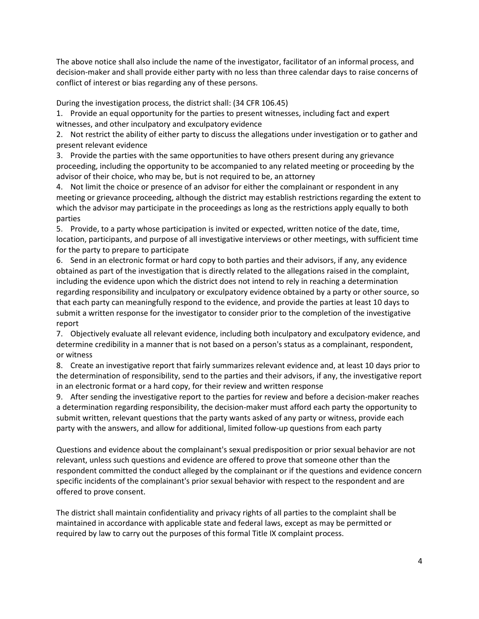The above notice shall also include the name of the investigator, facilitator of an informal process, and decision-maker and shall provide either party with no less than three calendar days to raise concerns of conflict of interest or bias regarding any of these persons.

During the investigation process, the district shall: (34 CFR 106.45)

1. Provide an equal opportunity for the parties to present witnesses, including fact and expert witnesses, and other inculpatory and exculpatory evidence

2. Not restrict the ability of either party to discuss the allegations under investigation or to gather and present relevant evidence

3. Provide the parties with the same opportunities to have others present during any grievance proceeding, including the opportunity to be accompanied to any related meeting or proceeding by the advisor of their choice, who may be, but is not required to be, an attorney

4. Not limit the choice or presence of an advisor for either the complainant or respondent in any meeting or grievance proceeding, although the district may establish restrictions regarding the extent to which the advisor may participate in the proceedings as long as the restrictions apply equally to both parties

5. Provide, to a party whose participation is invited or expected, written notice of the date, time, location, participants, and purpose of all investigative interviews or other meetings, with sufficient time for the party to prepare to participate

6. Send in an electronic format or hard copy to both parties and their advisors, if any, any evidence obtained as part of the investigation that is directly related to the allegations raised in the complaint, including the evidence upon which the district does not intend to rely in reaching a determination regarding responsibility and inculpatory or exculpatory evidence obtained by a party or other source, so that each party can meaningfully respond to the evidence, and provide the parties at least 10 days to submit a written response for the investigator to consider prior to the completion of the investigative report

7. Objectively evaluate all relevant evidence, including both inculpatory and exculpatory evidence, and determine credibility in a manner that is not based on a person's status as a complainant, respondent, or witness

8. Create an investigative report that fairly summarizes relevant evidence and, at least 10 days prior to the determination of responsibility, send to the parties and their advisors, if any, the investigative report in an electronic format or a hard copy, for their review and written response

9. After sending the investigative report to the parties for review and before a decision-maker reaches a determination regarding responsibility, the decision-maker must afford each party the opportunity to submit written, relevant questions that the party wants asked of any party or witness, provide each party with the answers, and allow for additional, limited follow-up questions from each party

Questions and evidence about the complainant's sexual predisposition or prior sexual behavior are not relevant, unless such questions and evidence are offered to prove that someone other than the respondent committed the conduct alleged by the complainant or if the questions and evidence concern specific incidents of the complainant's prior sexual behavior with respect to the respondent and are offered to prove consent.

The district shall maintain confidentiality and privacy rights of all parties to the complaint shall be maintained in accordance with applicable state and federal laws, except as may be permitted or required by law to carry out the purposes of this formal Title IX complaint process.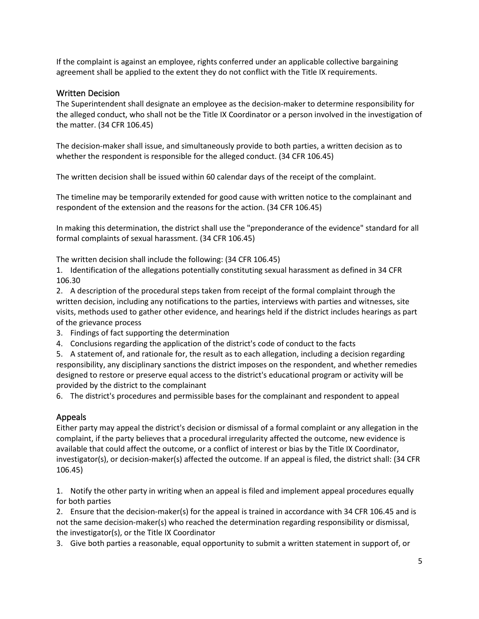If the complaint is against an employee, rights conferred under an applicable collective bargaining agreement shall be applied to the extent they do not conflict with the Title IX requirements.

### Written Decision

The Superintendent shall designate an employee as the decision-maker to determine responsibility for the alleged conduct, who shall not be the Title IX Coordinator or a person involved in the investigation of the matter. (34 CFR 106.45)

The decision-maker shall issue, and simultaneously provide to both parties, a written decision as to whether the respondent is responsible for the alleged conduct. (34 CFR 106.45)

The written decision shall be issued within 60 calendar days of the receipt of the complaint.

The timeline may be temporarily extended for good cause with written notice to the complainant and respondent of the extension and the reasons for the action. (34 CFR 106.45)

In making this determination, the district shall use the "preponderance of the evidence" standard for all formal complaints of sexual harassment. (34 CFR 106.45)

The written decision shall include the following: (34 CFR 106.45)

1. Identification of the allegations potentially constituting sexual harassment as defined in 34 CFR 106.30

2. A description of the procedural steps taken from receipt of the formal complaint through the written decision, including any notifications to the parties, interviews with parties and witnesses, site visits, methods used to gather other evidence, and hearings held if the district includes hearings as part of the grievance process

- 3. Findings of fact supporting the determination
- 4. Conclusions regarding the application of the district's code of conduct to the facts

5. A statement of, and rationale for, the result as to each allegation, including a decision regarding responsibility, any disciplinary sanctions the district imposes on the respondent, and whether remedies designed to restore or preserve equal access to the district's educational program or activity will be provided by the district to the complainant

6. The district's procedures and permissible bases for the complainant and respondent to appeal

### Appeals

Either party may appeal the district's decision or dismissal of a formal complaint or any allegation in the complaint, if the party believes that a procedural irregularity affected the outcome, new evidence is available that could affect the outcome, or a conflict of interest or bias by the Title IX Coordinator, investigator(s), or decision-maker(s) affected the outcome. If an appeal is filed, the district shall: (34 CFR 106.45)

1. Notify the other party in writing when an appeal is filed and implement appeal procedures equally for both parties

2. Ensure that the decision-maker(s) for the appeal is trained in accordance with 34 CFR 106.45 and is not the same decision-maker(s) who reached the determination regarding responsibility or dismissal, the investigator(s), or the Title IX Coordinator

3. Give both parties a reasonable, equal opportunity to submit a written statement in support of, or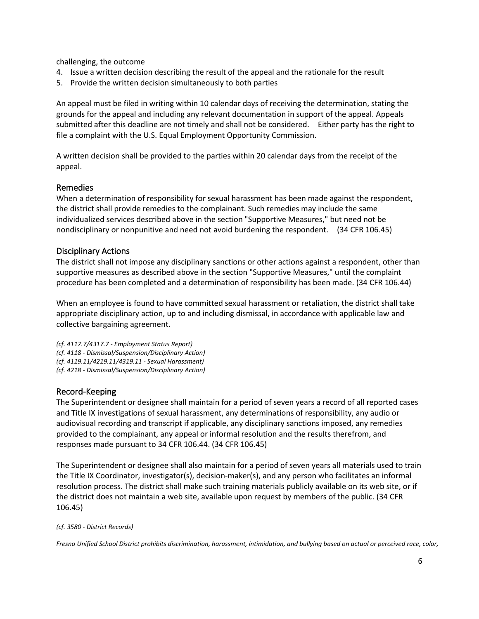challenging, the outcome

- 4. Issue a written decision describing the result of the appeal and the rationale for the result
- 5. Provide the written decision simultaneously to both parties

An appeal must be filed in writing within 10 calendar days of receiving the determination, stating the grounds for the appeal and including any relevant documentation in support of the appeal. Appeals submitted after this deadline are not timely and shall not be considered. Either party has the right to file a complaint with the U.S. Equal Employment Opportunity Commission.

A written decision shall be provided to the parties within 20 calendar days from the receipt of the appeal.

### Remedies

When a determination of responsibility for sexual harassment has been made against the respondent, the district shall provide remedies to the complainant. Such remedies may include the same individualized services described above in the section "Supportive Measures," but need not be nondisciplinary or nonpunitive and need not avoid burdening the respondent. (34 CFR 106.45)

#### Disciplinary Actions

The district shall not impose any disciplinary sanctions or other actions against a respondent, other than supportive measures as described above in the section "Supportive Measures," until the complaint procedure has been completed and a determination of responsibility has been made. (34 CFR 106.44)

When an employee is found to have committed sexual harassment or retaliation, the district shall take appropriate disciplinary action, up to and including dismissal, in accordance with applicable law and collective bargaining agreement.

*(cf. 4117.7/4317.7 - Employment Status Report) (cf. 4118 - Dismissal/Suspension/Disciplinary Action) (cf. 4119.11/4219.11/4319.11 - Sexual Harassment) (cf. 4218 - Dismissal/Suspension/Disciplinary Action)*

### Record-Keeping

The Superintendent or designee shall maintain for a period of seven years a record of all reported cases and Title IX investigations of sexual harassment, any determinations of responsibility, any audio or audiovisual recording and transcript if applicable, any disciplinary sanctions imposed, any remedies provided to the complainant, any appeal or informal resolution and the results therefrom, and responses made pursuant to 34 CFR 106.44. (34 CFR 106.45)

The Superintendent or designee shall also maintain for a period of seven years all materials used to train the Title IX Coordinator, investigator(s), decision-maker(s), and any person who facilitates an informal resolution process. The district shall make such training materials publicly available on its web site, or if the district does not maintain a web site, available upon request by members of the public. (34 CFR 106.45)

#### *(cf. 3580 - District Records)*

*Fresno Unified School District prohibits discrimination, harassment, intimidation, and bullying based on actual or perceived race, color,*